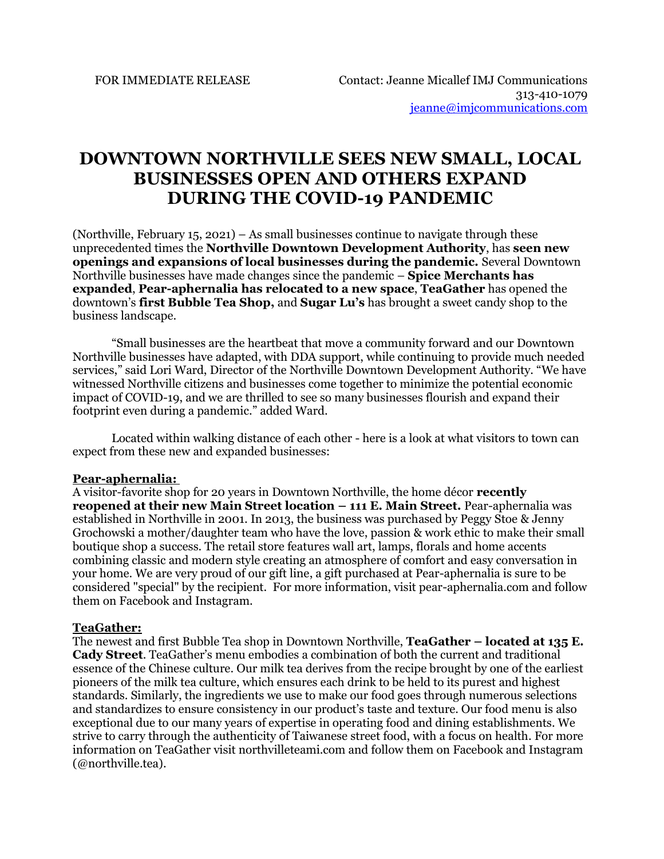# **DOWNTOWN NORTHVILLE SEES NEW SMALL, LOCAL BUSINESSES OPEN AND OTHERS EXPAND DURING THE COVID-19 PANDEMIC**

(Northville, February 15, 2021) – As small businesses continue to navigate through these unprecedented times the **Northville Downtown Development Authority**, has **seen new openings and expansions of local businesses during the pandemic.** Several Downtown Northville businesses have made changes since the pandemic – **Spice Merchants has expanded**, **Pear-aphernalia has relocated to a new space**, **TeaGather** has opened the downtown's **first Bubble Tea Shop,** and **Sugar Lu's** has brought a sweet candy shop to the business landscape.

"Small businesses are the heartbeat that move a community forward and our Downtown Northville businesses have adapted, with DDA support, while continuing to provide much needed services," said Lori Ward, Director of the Northville Downtown Development Authority. "We have witnessed Northville citizens and businesses come together to minimize the potential economic impact of COVID-19, and we are thrilled to see so many businesses flourish and expand their footprint even during a pandemic." added Ward.

Located within walking distance of each other - here is a look at what visitors to town can expect from these new and expanded businesses:

## **Pear-aphernalia:**

A visitor-favorite shop for 20 years in Downtown Northville, the home décor **recently reopened at their new Main Street location – 111 E. Main Street.** Pear-aphernalia was established in Northville in 2001. In 2013, the business was purchased by Peggy Stoe & Jenny Grochowski a mother/daughter team who have the love, passion & work ethic to make their small boutique shop a success. The retail store features wall art, lamps, florals and home accents combining classic and modern style creating an atmosphere of comfort and easy conversation in your home. We are very proud of our gift line, a gift purchased at Pear-aphernalia is sure to be considered "special" by the recipient. For more information, visit pear-aphernalia.com and follow them on Facebook and Instagram.

#### **TeaGather:**

The newest and first Bubble Tea shop in Downtown Northville, **TeaGather – located at 135 E. Cady Street**. TeaGather's menu embodies a combination of both the current and traditional essence of the Chinese culture. Our milk tea derives from the recipe brought by one of the earliest pioneers of the milk tea culture, which ensures each drink to be held to its purest and highest standards. Similarly, the ingredients we use to make our food goes through numerous selections and standardizes to ensure consistency in our product's taste and texture. Our food menu is also exceptional due to our many years of expertise in operating food and dining establishments. We strive to carry through the authenticity of Taiwanese street food, with a focus on health. For more information on TeaGather visit northvilleteami.com and follow them on Facebook and Instagram (@northville.tea).